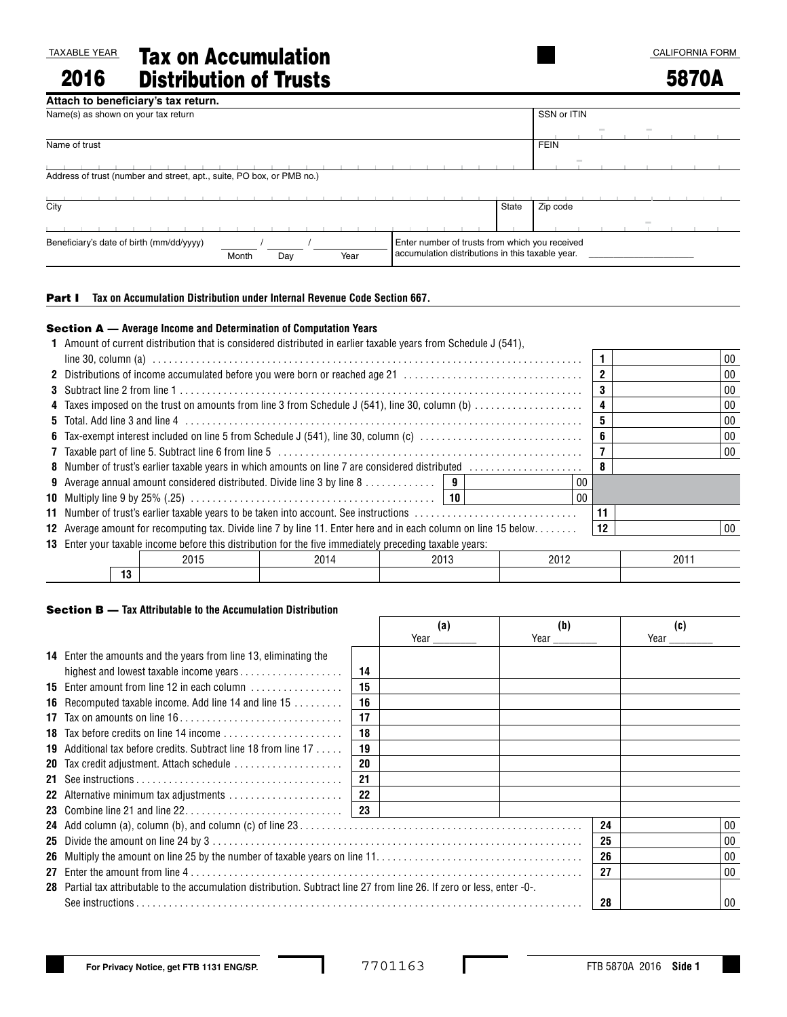TAXABLE YEAR 2016

Tax on Accumulation Distribution of Trusts

# 5870A

| Attach to beneficiary's tax return.                                   |                                                  |
|-----------------------------------------------------------------------|--------------------------------------------------|
| Name(s) as shown on your tax return                                   | SSN or ITIN                                      |
|                                                                       | $\sim$<br>$\sim$                                 |
| Name of trust                                                         | <b>FEIN</b>                                      |
|                                                                       | $\frac{1}{2}$                                    |
| Address of trust (number and street, apt., suite, PO box, or PMB no.) |                                                  |
|                                                                       |                                                  |
| City                                                                  | Zip code<br>State                                |
|                                                                       | $\frac{1}{2}$                                    |
| Beneficiary's date of birth (mm/dd/yyyy)                              | Enter number of trusts from which you received   |
| Year<br>Month<br>Day                                                  | accumulation distributions in this taxable year. |

### Part I **Tax on Accumulation Distribution under Internal Revenue Code Section 667.**

### Section A — **Average Income and Determination of Computation Years**

|                                                                                                                        | 1 Amount of current distribution that is considered distributed in earlier taxable years from Schedule J (541). |      |        |      |    |      |    |
|------------------------------------------------------------------------------------------------------------------------|-----------------------------------------------------------------------------------------------------------------|------|--------|------|----|------|----|
|                                                                                                                        |                                                                                                                 |      |        |      |    |      | 00 |
|                                                                                                                        | 2 Distributions of income accumulated before you were born or reached age 21                                    |      |        |      |    |      | 00 |
|                                                                                                                        |                                                                                                                 |      | 00     |      |    |      |    |
|                                                                                                                        | 4 Taxes imposed on the trust on amounts from line 3 from Schedule J (541), line 30, column (b)                  |      |        |      | 4  |      | 00 |
|                                                                                                                        |                                                                                                                 |      |        |      | 5  |      | 00 |
|                                                                                                                        | 6 Tax-exempt interest included on line 5 from Schedule J (541), line 30, column (c)                             |      |        |      | 6  |      | 00 |
|                                                                                                                        |                                                                                                                 |      | $00\,$ |      |    |      |    |
| 8 Number of trust's earlier taxable years in which amounts on line 7 are considered distributed                        | 8                                                                                                               |      |        |      |    |      |    |
|                                                                                                                        | <b>9</b> Average annual amount considered distributed. Divide line 3 by line 8   9                              |      |        | 00   |    |      |    |
|                                                                                                                        |                                                                                                                 |      |        | 00   |    |      |    |
|                                                                                                                        | 11 Number of trust's earlier taxable years to be taken into account. See instructions                           |      |        |      | 11 |      |    |
| <b>12</b> Average amount for recomputing tax. Divide line 7 by line 11. Enter here and in each column on line 15 below | 12                                                                                                              |      | $00\,$ |      |    |      |    |
|                                                                                                                        | <b>13</b> Enter your taxable income before this distribution for the five immediately preceding taxable years:  |      |        |      |    |      |    |
|                                                                                                                        | 2015                                                                                                            | 2014 | 2013   | 2012 |    | 2011 |    |
| 13                                                                                                                     |                                                                                                                 |      |        |      |    |      |    |

#### Section B — **Tax Attributable to the Accumulation Distribution**

|                                                                                                                          |    | (a)<br>Year $\_\_$ | (b)<br>Year $\_\_\_\_\_\_\$ |    | (c)<br>Year $\_\_\_\_\_\_\_\$ |
|--------------------------------------------------------------------------------------------------------------------------|----|--------------------|-----------------------------|----|-------------------------------|
| <b>14</b> Enter the amounts and the years from line 13, eliminating the                                                  |    |                    |                             |    |                               |
|                                                                                                                          | 14 |                    |                             |    |                               |
|                                                                                                                          | 15 |                    |                             |    |                               |
| <b>16</b> Recomputed taxable income. Add line 14 and line 15                                                             | 16 |                    |                             |    |                               |
| 17 Tax on amounts on line $16, \ldots, \ldots, \ldots, \ldots, \ldots, \ldots, \ldots$                                   | 17 |                    |                             |    |                               |
|                                                                                                                          | 18 |                    |                             |    |                               |
| <b>19</b> Additional tax before credits. Subtract line 18 from line $17$                                                 | 19 |                    |                             |    |                               |
| <b>20</b> Tax credit adjustment. Attach schedule                                                                         | 20 |                    |                             |    |                               |
|                                                                                                                          | 21 |                    |                             |    |                               |
|                                                                                                                          | 22 |                    |                             |    |                               |
|                                                                                                                          | 23 |                    |                             |    |                               |
|                                                                                                                          |    |                    |                             | 24 | 00                            |
|                                                                                                                          |    |                    |                             | 25 | 00                            |
|                                                                                                                          |    |                    |                             | 26 | 00                            |
|                                                                                                                          |    |                    |                             | 27 | 00                            |
| 28 Partial tax attributable to the accumulation distribution. Subtract line 27 from line 26. If zero or less, enter -0-. |    |                    |                             |    |                               |
|                                                                                                                          |    |                    |                             | 28 | 00                            |

I